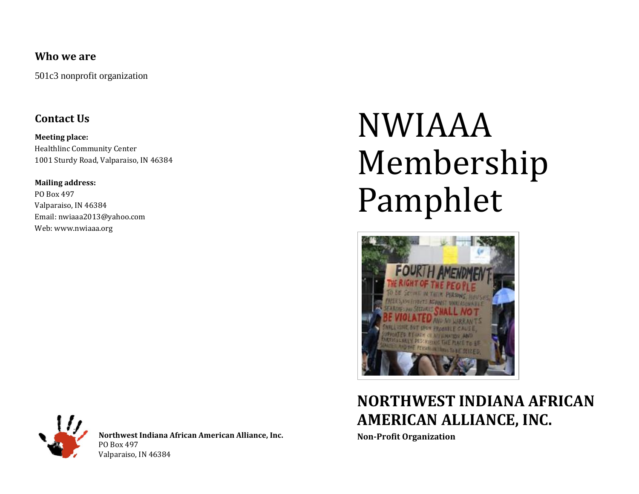#### **Who we are**

501c3 nonprofit organization

#### **Contact Us**

**Meeting place:** Healthlinc Community Center 1001 Sturdy Road, Valparaiso, IN 46384

**Mailing address:** PO Box 497 Valparaiso, IN 46384 Email: nwiaaa2013@yahoo.com Web: www.nwiaaa.org

# NWIAAA Membership Pamphlet



### **NORTHWEST INDIANA AFRICAN AMERICAN ALLIANCE, INC.**

**Non-Profit Organization**



**Northwest Indiana African American Alliance, Inc.** PO Box 497 Valparaiso, IN 46384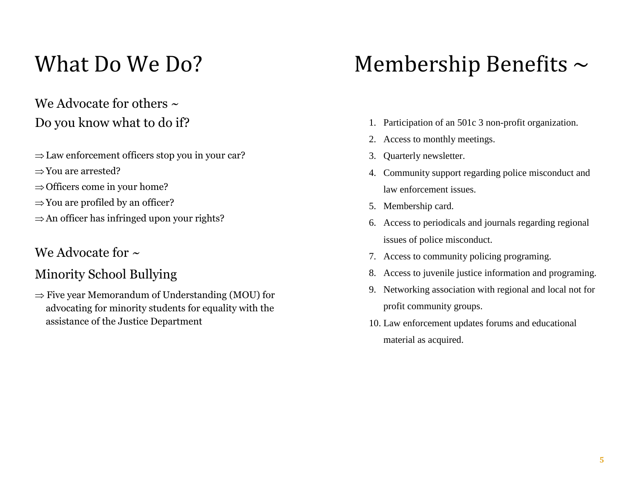# What Do We Do?

### We Advocate for others  $\sim$ Do you know what to do if?

- $\Rightarrow$  Law enforcement officers stop you in your car?
- $\Rightarrow$ You are arrested?
- $\Rightarrow$  Officers come in your home?
- $\Rightarrow$  You are profiled by an officer?
- $\Rightarrow$  An officer has infringed upon your rights?

#### We Advocate for  $\sim$

### Minority School Bullying

 $\Rightarrow$  Five year Memorandum of Understanding (MOU) for advocating for minority students for equality with the assistance of the Justice Department

# Membership Benefits  $\sim$

- 1. Participation of an 501c 3 non-profit organization.
- 2. Access to monthly meetings.
- 3. Quarterly newsletter.
- 4. Community support regarding police misconduct and law enforcement issues.
- 5. Membership card.
- 6. Access to periodicals and journals regarding regional issues of police misconduct.
- 7. Access to community policing programing.
- 8. Access to juvenile justice information and programing.
- 9. Networking association with regional and local not for profit community groups.
- 10. Law enforcement updates forums and educational material as acquired.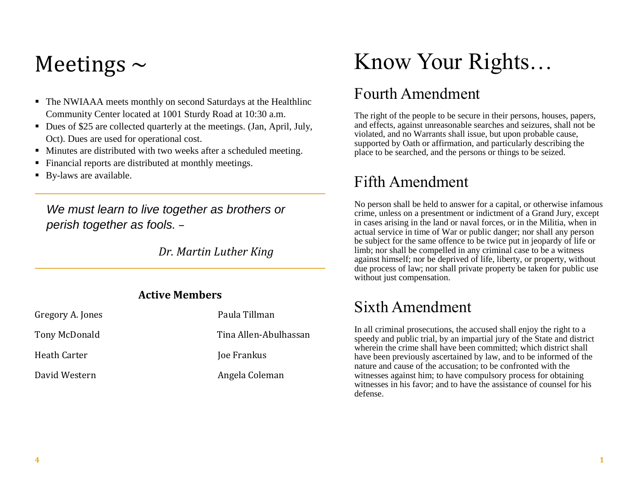# Meetings  $\sim$

- The NWIAAA meets monthly on second Saturdays at the Healthlinc Community Center located at 1001 Sturdy Road at 10:30 a.m.
- Dues of \$25 are collected quarterly at the meetings. (Jan, April, July, Oct). Dues are used for operational cost.
- Minutes are distributed with two weeks after a scheduled meeting.
- Financial reports are distributed at monthly meetings.
- By-laws are available.

*We must learn to live together as brothers or perish together as fools. –*

 *Dr. Martin Luther King*

#### **Active Members**

| Gregory A. Jones | Paula Tillman         |
|------------------|-----------------------|
| Tony McDonald    | Tina Allen-Abulhassan |
| Heath Carter     | Joe Frankus           |
| David Western    | Angela Coleman        |

# Know Your Rights…

### Fourth Amendment

The right of the people to be secure in their persons, houses, papers, and effects, against unreasonable searches and seizures, shall not be violated, and no Warrants shall issue, but upon probable cause, supported by Oath or affirmation, and particularly describing the place to be searched, and the persons or things to be seized.

### Fifth Amendment

No person shall be held to answer for a capital, or otherwise infamous crime, unless on a presentment or indictment of a Grand Jury, except in cases arising in the land or naval forces, or in the Militia, when in actual service in time of War or public danger; nor shall any person be subject for the same offence to be twice put in jeopardy of life or limb; nor shall be compelled in any criminal case to be a witness against himself; nor be deprived of life, liberty, or property, without due process of law; nor shall private property be taken for public use without just compensation.

### Sixth Amendment

In all criminal prosecutions, the accused shall enjoy the right to a speedy and public trial, by an impartial jury of the State and district wherein the crime shall have been committed; which district shall have been previously ascertained by law, and to be informed of the nature and cause of the accusation; to be confronted with the witnesses against him; to have compulsory process for obtaining witnesses in his favor; and to have the assistance of counsel for his defense.